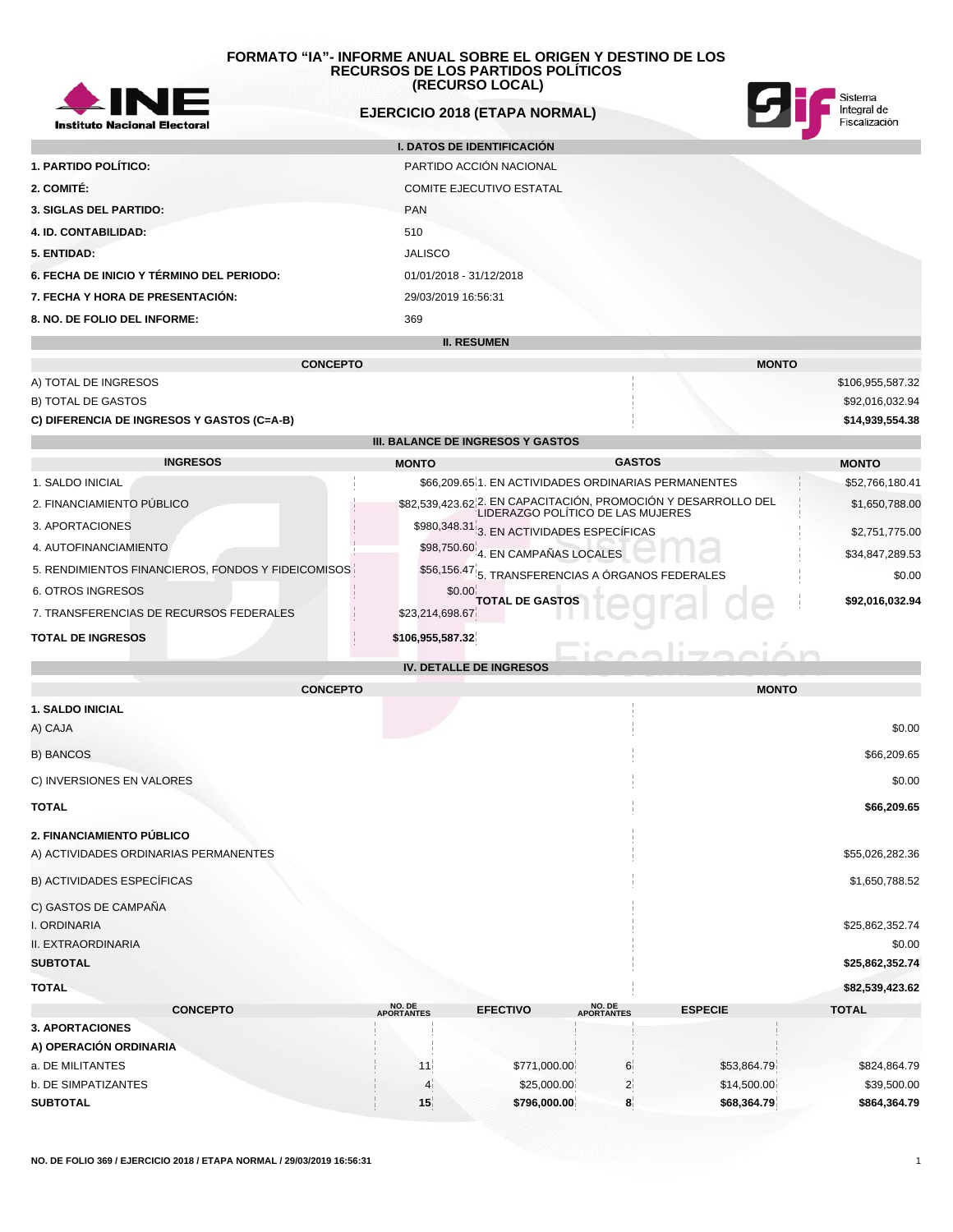

# **EJERCICIO 2018 (ETAPA NORMAL)**



lización

 $R_{2}$ 

|                                           | <b>I. DATOS DE IDENTIFICACIÓN</b> |  |
|-------------------------------------------|-----------------------------------|--|
| 1. PARTIDO POLÍTICO:                      | PARTIDO ACCIÓN NACIONAL           |  |
| 2. COMITÉ:                                | <b>COMITE EJECUTIVO ESTATAL</b>   |  |
| <b>3. SIGLAS DEL PARTIDO:</b>             | <b>PAN</b>                        |  |
| <b>4. ID. CONTABILIDAD:</b>               | 510                               |  |
| 5. ENTIDAD:                               | <b>JALISCO</b>                    |  |
| 6. FECHA DE INICIO Y TÉRMINO DEL PERIODO: | 01/01/2018 - 31/12/2018           |  |
| 7. FECHA Y HORA DE PRESENTACIÓN:          | 29/03/2019 16:56:31               |  |
| 8. NO. DE FOLIO DEL INFORME:              | 369                               |  |
|                                           | <b>II. RESUMEN</b>                |  |

|                                            | <b>CONCEPTO</b>                          |                                                                                                     | <b>MONTO</b>     |
|--------------------------------------------|------------------------------------------|-----------------------------------------------------------------------------------------------------|------------------|
| A) TOTAL DE INGRESOS                       |                                          |                                                                                                     | \$106,955,587.32 |
| <b>B) TOTAL DE GASTOS</b>                  |                                          |                                                                                                     | \$92,016,032.94  |
| C) DIFERENCIA DE INGRESOS Y GASTOS (C=A-B) |                                          |                                                                                                     | \$14,939,554.38  |
|                                            | <b>III. BALANCE DE INGRESOS Y GASTOS</b> |                                                                                                     |                  |
| <b>INGRESOS</b>                            | <b>MONTO</b>                             | <b>GASTOS</b>                                                                                       | <b>MONTO</b>     |
| 1. SALDO INICIAL                           |                                          | \$66,209.65 1. EN ACTIVIDADES ORDINARIAS PERMANENTES                                                | \$52,766,180.41  |
| 2. FINANCIAMIENTO PÚBLICO                  |                                          | \$82,539,423.62 2. EN CAPACITACIÓN, PROMOCIÓN Y DESARROLLO DEL<br>LIDERAZGO POLÍTICO DE LAS MUJERES | \$1,650,788.00   |
| 3. APORTACIONES                            |                                          | $$980,348.31]_3$ . EN ACTIVIDADES ESPECÍFICAS                                                       | \$2,751,775.00   |

| 4. AUTOFINANCIAMIENTO                              | $$98,750.60$ <sup>4</sup> . EN CAMPAÑAS LOCALES   | \$34,847,289.53 |
|----------------------------------------------------|---------------------------------------------------|-----------------|
| 5. RENDIMIENTOS FINANCIEROS. FONDOS Y FIDEICOMISOS | \$56,156.47 5. TRANSFERENCIAS A ÓRGANOS FEDERALES | \$0.00          |
| 6. OTROS INGRESOS                                  | \$0.00 TOTAL DE GASTOS                            | \$92,016,032.94 |
| 7. TRANSFERENCIAS DE RECURSOS FEDERALES            | \$23,214,698.67                                   |                 |

**IV. DETALLE DE INGRESOS**

# **TOTAL DE INGRESOS \$106,955,587.32**

|                                       | <b>CONCEPTO</b>      |                 |                             | <b>MONTO</b>   |                 |
|---------------------------------------|----------------------|-----------------|-----------------------------|----------------|-----------------|
| <b>1. SALDO INICIAL</b>               |                      |                 |                             |                |                 |
| A) CAJA                               |                      |                 |                             |                | \$0.00          |
| <b>B) BANCOS</b>                      |                      |                 |                             |                | \$66,209.65     |
| C) INVERSIONES EN VALORES             |                      |                 |                             |                | \$0.00          |
| <b>TOTAL</b>                          |                      |                 |                             |                | \$66,209.65     |
| 2. FINANCIAMIENTO PÚBLICO             |                      |                 |                             |                |                 |
| A) ACTIVIDADES ORDINARIAS PERMANENTES |                      |                 |                             |                | \$55,026,282.36 |
| B) ACTIVIDADES ESPECÍFICAS            |                      |                 |                             |                | \$1,650,788.52  |
| C) GASTOS DE CAMPAÑA                  |                      |                 |                             |                |                 |
| I. ORDINARIA                          |                      |                 |                             |                | \$25,862,352.74 |
| II. EXTRAORDINARIA                    |                      |                 |                             |                | \$0.00          |
| <b>SUBTOTAL</b>                       |                      |                 |                             |                | \$25,862,352.74 |
| <b>TOTAL</b>                          |                      |                 |                             |                | \$82,539,423.62 |
| <b>CONCEPTO</b>                       | NO. DE<br>APORTANTES | <b>EFECTIVO</b> | NO. DE<br><b>APORTANTES</b> | <b>ESPECIE</b> | <b>TOTAL</b>    |
| <b>3. APORTACIONES</b>                |                      |                 |                             |                |                 |
| A) OPERACIÓN ORDINARIA                |                      |                 |                             |                |                 |
| a. DE MILITANTES                      | 11                   | \$771,000.00    | 6                           | \$53,864.79    | \$824,864.79    |
| b. DE SIMPATIZANTES                   | 4                    | \$25,000.00     | $2^{\frac{1}{2}}$           | \$14,500.00    | \$39,500.00     |
| <b>SUBTOTAL</b>                       | 15 <sub>1</sub>      | \$796,000.00    | 8                           | \$68,364.79    | \$864,364.79    |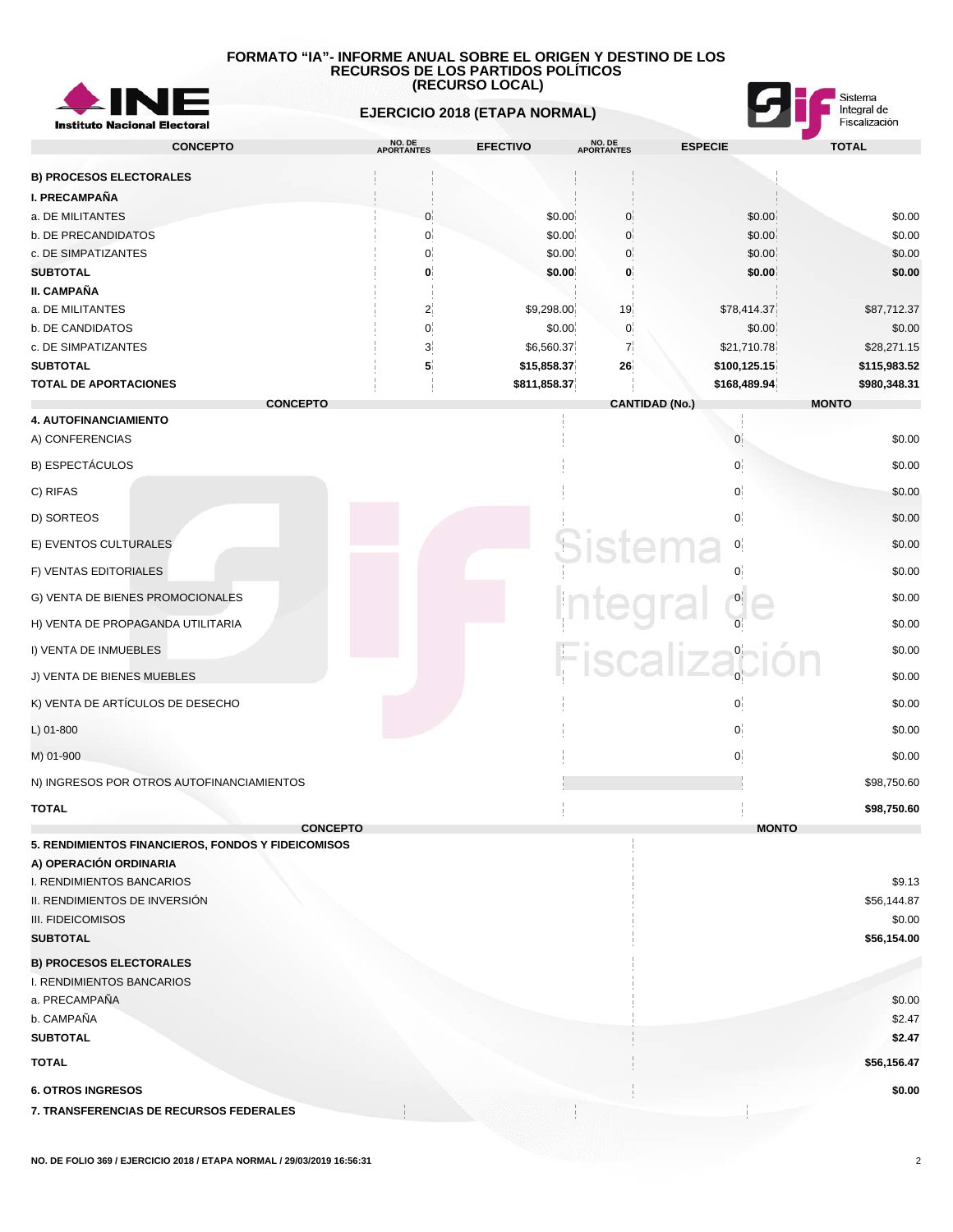

 **EJERCICIO 2018 (ETAPA NORMAL)**



| <b>INSTRUIT NACIONAL LIECTOR</b>                                             |                      |                      |                      |                       |                       |
|------------------------------------------------------------------------------|----------------------|----------------------|----------------------|-----------------------|-----------------------|
| <b>CONCEPTO</b>                                                              | NO. DE<br>APORTANTES | <b>EFECTIVO</b>      | NO. DE<br>APORTANTES | <b>ESPECIE</b>        | <b>TOTAL</b>          |
| <b>B) PROCESOS ELECTORALES</b>                                               |                      |                      |                      |                       |                       |
| <b>I. PRECAMPAÑA</b>                                                         |                      |                      |                      |                       |                       |
| a. DE MILITANTES                                                             | $\mathbf{0}$         | \$0.00               | 0                    | \$0.00                | \$0.00                |
| b. DE PRECANDIDATOS                                                          | 0                    | \$0.00               | $\mathbf{0}$         | \$0.00                | \$0.00                |
| c. DE SIMPATIZANTES                                                          | $\Omega$             | \$0.00               | $\mathbf{0}$         | \$0.00                | \$0.00                |
| <b>SUBTOTAL</b>                                                              |                      | \$0.00               | 0                    | \$0.00                | \$0.00                |
| II. CAMPAÑA                                                                  |                      |                      |                      |                       |                       |
| a. DE MILITANTES<br>b. DE CANDIDATOS                                         | $\overline{2}$<br>0  | \$9,298.00<br>\$0.00 | 19 <sub>1</sub><br>0 | \$78,414.37<br>\$0.00 | \$87,712.37<br>\$0.00 |
| c. DE SIMPATIZANTES                                                          | 3 <sup>1</sup>       | \$6,560.37           | 7 <sup>1</sup>       | \$21,710.78           | \$28,271.15           |
| <b>SUBTOTAL</b>                                                              | 5                    | \$15,858.37          | 26                   | \$100,125.15          | \$115,983.52          |
| <b>TOTAL DE APORTACIONES</b>                                                 |                      | \$811,858.37         |                      | \$168,489.94          | \$980,348.31          |
| <b>CONCEPTO</b>                                                              |                      |                      |                      | <b>CANTIDAD (No.)</b> | <b>MONTO</b>          |
| 4. AUTOFINANCIAMIENTO                                                        |                      |                      |                      |                       |                       |
| A) CONFERENCIAS                                                              |                      |                      |                      | 0                     | \$0.00                |
| B) ESPECTÁCULOS                                                              |                      |                      |                      | 0                     | \$0.00                |
| C) RIFAS                                                                     |                      |                      |                      | 0 <sup>1</sup>        | \$0.00                |
| D) SORTEOS                                                                   |                      |                      |                      | 0                     | \$0.00                |
| E) EVENTOS CULTURALES                                                        |                      |                      | sistema              | 0 <sup>1</sup>        | \$0.00                |
| F) VENTAS EDITORIALES                                                        |                      |                      |                      |                       | \$0.00                |
| G) VENTA DE BIENES PROMOCIONALES                                             |                      |                      |                      | Integral de           | \$0.00                |
| H) VENTA DE PROPAGANDA UTILITARIA                                            |                      |                      |                      |                       | \$0.00                |
| I) VENTA DE INMUEBLES                                                        |                      |                      |                      | Fiscalización         | \$0.00                |
| J) VENTA DE BIENES MUEBLES                                                   |                      |                      |                      |                       | \$0.00                |
| K) VENTA DE ARTÍCULOS DE DESECHO                                             |                      |                      |                      | 0                     | \$0.00                |
| L) 01-800                                                                    |                      |                      |                      | 0                     | \$0.00                |
| M) 01-900                                                                    |                      |                      |                      | 0                     | \$0.00                |
| N) INGRESOS POR OTROS AUTOFINANCIAMIENTOS                                    |                      |                      |                      |                       | \$98,750.60           |
| <b>TOTAL</b>                                                                 |                      |                      |                      |                       | \$98,750.60           |
| <b>CONCEPTO</b>                                                              |                      |                      |                      | <b>MONTO</b>          |                       |
| 5. RENDIMIENTOS FINANCIEROS, FONDOS Y FIDEICOMISOS<br>A) OPERACIÓN ORDINARIA |                      |                      |                      |                       |                       |
| I. RENDIMIENTOS BANCARIOS                                                    |                      |                      |                      |                       | \$9.13                |
| II. RENDIMIENTOS DE INVERSIÓN                                                |                      |                      |                      |                       | \$56,144.87           |
| III. FIDEICOMISOS                                                            |                      |                      |                      |                       | \$0.00                |
| <b>SUBTOTAL</b>                                                              |                      |                      |                      |                       | \$56,154.00           |
| <b>B) PROCESOS ELECTORALES</b>                                               |                      |                      |                      |                       |                       |
| I. RENDIMIENTOS BANCARIOS                                                    |                      |                      |                      |                       |                       |
| a. PRECAMPAÑA                                                                |                      |                      |                      |                       | \$0.00                |
| b. CAMPAÑA                                                                   |                      |                      |                      |                       | \$2.47                |
| <b>SUBTOTAL</b>                                                              |                      |                      |                      |                       | \$2.47                |
| <b>TOTAL</b>                                                                 |                      |                      |                      |                       | \$56,156.47           |
| <b>6. OTROS INGRESOS</b>                                                     |                      |                      |                      |                       | \$0.00                |
| 7. TRANSFERENCIAS DE RECURSOS FEDERALES                                      |                      |                      |                      |                       |                       |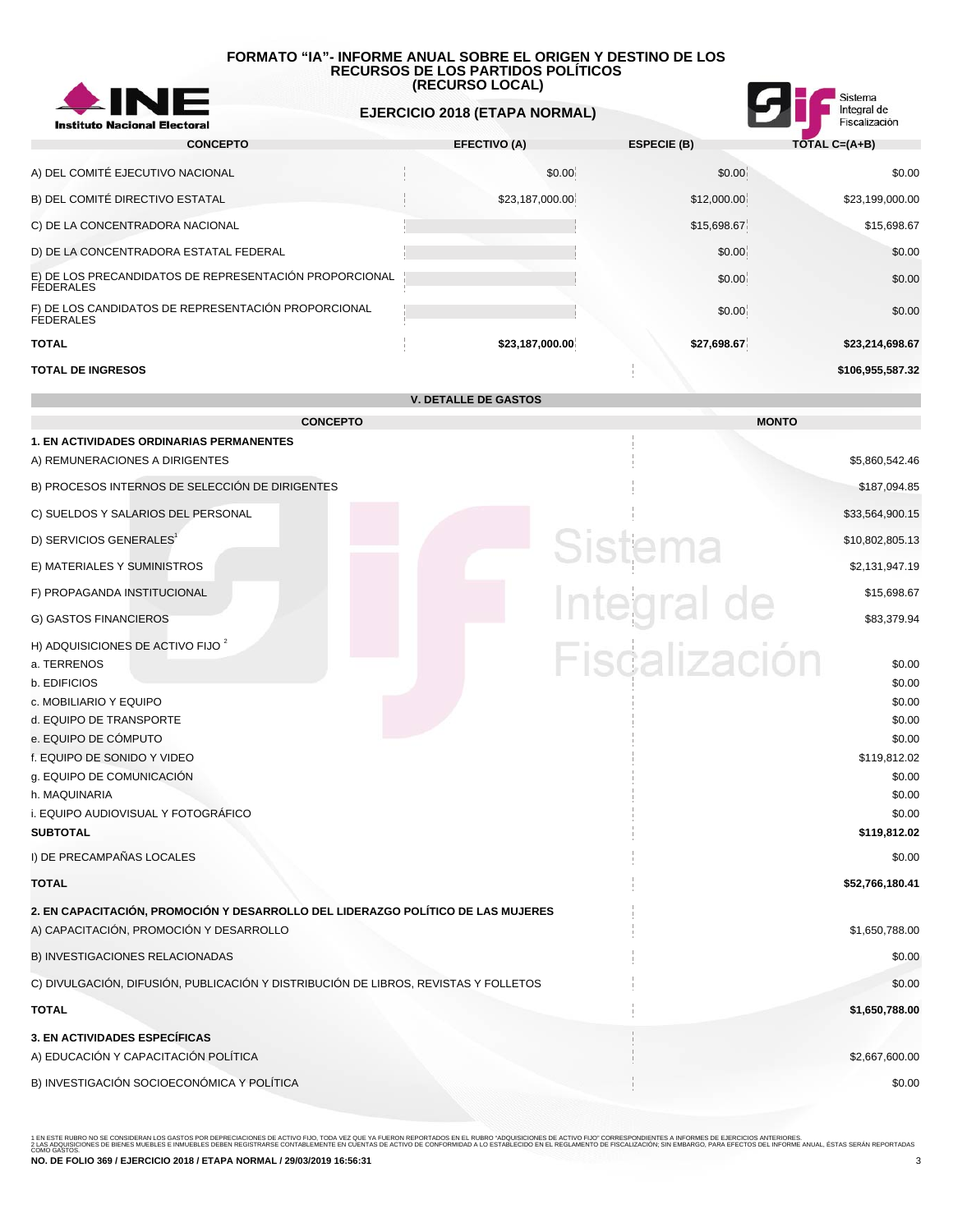

 **EJERCICIO 2018 (ETAPA NORMAL)**



| <b>CONCEPTO</b>                                                            | <b>EFECTIVO (A)</b> | <b>ESPECIE (B)</b> | $TOTAL C = (A+B)$ |
|----------------------------------------------------------------------------|---------------------|--------------------|-------------------|
| A) DEL COMITÉ EJECUTIVO NACIONAL                                           | \$0.00 <sub>1</sub> | \$0.00             | \$0.00            |
| B) DEL COMITÉ DIRECTIVO ESTATAL                                            | \$23,187,000.00     | \$12,000.00        | \$23,199,000.00   |
| C) DE LA CONCENTRADORA NACIONAL                                            |                     | \$15,698.67        | \$15,698.67       |
| D) DE LA CONCENTRADORA ESTATAL FEDERAL                                     |                     | \$0.00             | \$0.00            |
| E) DE LOS PRECANDIDATOS DE REPRESENTACIÓN PROPORCIONAL<br><b>FEDERALES</b> |                     | \$0.00             | \$0.00            |
| F) DE LOS CANDIDATOS DE REPRESENTACIÓN PROPORCIONAL<br><b>FEDERALES</b>    |                     | \$0.00             | \$0.00            |
| <b>TOTAL</b>                                                               | \$23,187,000.00     | \$27,698.67        | \$23,214,698.67   |
| <b>TOTAL DE INGRESOS</b>                                                   |                     |                    | \$106,955,587.32  |

**V. DETALLE DE GASTOS**

| <b>CONCEPTO</b>                                                                                                                                                                                                                                                                                                              | <b>MONTO</b>                                                                                                                            |
|------------------------------------------------------------------------------------------------------------------------------------------------------------------------------------------------------------------------------------------------------------------------------------------------------------------------------|-----------------------------------------------------------------------------------------------------------------------------------------|
| <b>1. EN ACTIVIDADES ORDINARIAS PERMANENTES</b><br>A) REMUNERACIONES A DIRIGENTES                                                                                                                                                                                                                                            | \$5,860,542.46                                                                                                                          |
| B) PROCESOS INTERNOS DE SELECCIÓN DE DIRIGENTES                                                                                                                                                                                                                                                                              | \$187,094.85                                                                                                                            |
| C) SUELDOS Y SALARIOS DEL PERSONAL                                                                                                                                                                                                                                                                                           | \$33,564,900.15                                                                                                                         |
| D) SERVICIOS GENERALES <sup>1</sup>                                                                                                                                                                                                                                                                                          | Sistema<br>\$10,802,805.13                                                                                                              |
| E) MATERIALES Y SUMINISTROS                                                                                                                                                                                                                                                                                                  | \$2,131,947.19                                                                                                                          |
| F) PROPAGANDA INSTITUCIONAL                                                                                                                                                                                                                                                                                                  | Integral de<br>\$15,698.67                                                                                                              |
| G) GASTOS FINANCIEROS                                                                                                                                                                                                                                                                                                        | \$83,379.94                                                                                                                             |
| H) ADQUISICIONES DE ACTIVO FIJO <sup>2</sup><br>a. TERRENOS<br>b. EDIFICIOS<br>c. MOBILIARIO Y EQUIPO<br>d. EQUIPO DE TRANSPORTE<br>e. EQUIPO DE CÓMPUTO<br>f. EQUIPO DE SONIDO Y VIDEO<br>g. EQUIPO DE COMUNICACIÓN<br>h. MAQUINARIA<br>i. EQUIPO AUDIOVISUAL Y FOTOGRÁFICO<br><b>SUBTOTAL</b><br>I) DE PRECAMPAÑAS LOCALES | Fiscalización<br>\$0.00<br>\$0.00<br>\$0.00<br>\$0.00<br>\$0.00<br>\$119,812.02<br>\$0.00<br>\$0.00<br>\$0.00<br>\$119,812.02<br>\$0.00 |
| <b>TOTAL</b>                                                                                                                                                                                                                                                                                                                 | \$52,766,180.41                                                                                                                         |
| 2. EN CAPACITACIÓN, PROMOCIÓN Y DESARROLLO DEL LIDERAZGO POLÍTICO DE LAS MUJERES<br>A) CAPACITACIÓN, PROMOCIÓN Y DESARROLLO                                                                                                                                                                                                  | \$1,650,788.00                                                                                                                          |
| B) INVESTIGACIONES RELACIONADAS                                                                                                                                                                                                                                                                                              | \$0.00                                                                                                                                  |
| C) DIVULGACIÓN, DIFUSIÓN, PUBLICACIÓN Y DISTRIBUCIÓN DE LIBROS, REVISTAS Y FOLLETOS                                                                                                                                                                                                                                          | \$0.00                                                                                                                                  |
| <b>TOTAL</b>                                                                                                                                                                                                                                                                                                                 | \$1,650,788.00                                                                                                                          |
| 3. EN ACTIVIDADES ESPECÍFICAS<br>A) EDUCACIÓN Y CAPACITACIÓN POLÍTICA                                                                                                                                                                                                                                                        | \$2,667,600.00                                                                                                                          |
| B) INVESTIGACIÓN SOCIOECONÓMICA Y POLÍTICA                                                                                                                                                                                                                                                                                   | \$0.00                                                                                                                                  |
|                                                                                                                                                                                                                                                                                                                              |                                                                                                                                         |

1 EN ESTE RUBRO NO SE CONSIDERAN LOS GASTOS POR DEPRECIACIONES DE ACTIVO FIJO, TODA VEZ QUE YA FUERON REPORTADOS EN EL RUBRO "ADQUISICIONES DE ACTIVO FUO" CORRESPONDIENTES A INFORMES DE EJERCICIOS ANTERIORES.<br>2 LAS ADQUISI **NO. DE FOLIO 369 / EJERCICIO 2018 / ETAPA NORMAL / 29/03/2019 16:56:31** 3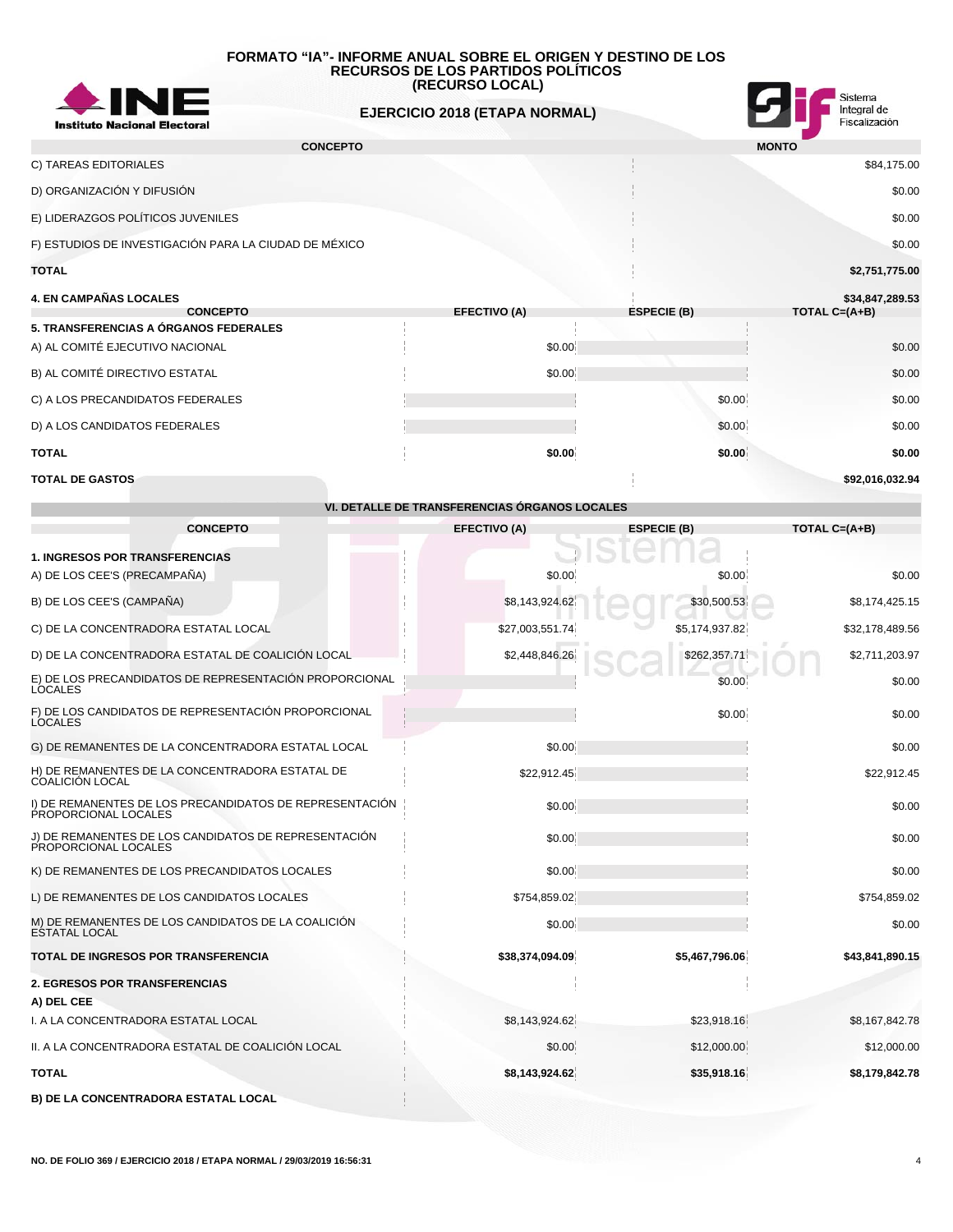

 **EJERCICIO 2018 (ETAPA NORMAL)**



| <b>CONCEPTO</b>                                       |                     |        |                    | <b>MONTO</b>     |
|-------------------------------------------------------|---------------------|--------|--------------------|------------------|
| C) TAREAS EDITORIALES                                 |                     |        |                    | \$84,175.00      |
| D) ORGANIZACIÓN Y DIFUSIÓN                            |                     |        |                    | \$0.00           |
| E) LIDERAZGOS POLÍTICOS JUVENILES                     |                     |        |                    | \$0.00           |
| F) ESTUDIOS DE INVESTIGACIÓN PARA LA CIUDAD DE MÉXICO |                     |        |                    | \$0.00           |
| <b>TOTAL</b>                                          |                     |        |                    | \$2,751,775.00   |
| <b>4. EN CAMPAÑAS LOCALES</b>                         |                     |        |                    | \$34,847,289.53  |
| <b>CONCEPTO</b>                                       | <b>EFECTIVO (A)</b> |        | <b>ESPECIE (B)</b> | TOTAL $C=(A+B)$  |
| 5. TRANSFERENCIAS A ÓRGANOS FEDERALES                 |                     |        |                    |                  |
| A) AL COMITÉ EJECUTIVO NACIONAL                       |                     | \$0.00 |                    | \$0.00           |
| B) AL COMITÉ DIRECTIVO ESTATAL                        |                     | \$0.00 |                    | \$0.00           |
| C) A LOS PRECANDIDATOS FEDERALES                      |                     |        |                    | \$0.00<br>\$0.00 |

D) A LOS CANDIDATOS FEDERALES \$0.00 \$0.00 \$0.00 \$0.00 \$0.00 \$0.00 \$0.00 \$0.00 \$0.00 \$1.00 \$1.00 \$1.00 \$1.00 \$1.00 \$1.00 \$1.00 \$1.00 \$1.00 \$1.00 \$1.00 \$1.00 \$1.00 \$1.00 \$1.00 \$1.00 \$1.00 \$1.00 \$1.00 \$1.00 \$1.00 \$1.00 \$1.00

**TOTAL \$0.00 \$0.00 \$0.00**

# **TOTAL DE GASTOS \$92,016,032.94**

|                                                                                 | VI. DETALLE DE TRANSFERENCIAS ORGANOS LOCALES |                    |                 |
|---------------------------------------------------------------------------------|-----------------------------------------------|--------------------|-----------------|
| <b>CONCEPTO</b>                                                                 | <b>EFECTIVO (A)</b>                           | <b>ESPECIE (B)</b> | TOTAL $C=(A+B)$ |
| <b>1. INGRESOS POR TRANSFERENCIAS</b><br>A) DE LOS CEE'S (PRECAMPAÑA)           | \$0.00                                        | \$0.00             | \$0.00          |
| B) DE LOS CEE'S (CAMPAÑA)                                                       | \$8,143,924.62                                | \$30,500.53        | \$8,174,425.15  |
| C) DE LA CONCENTRADORA ESTATAL LOCAL                                            | \$27,003,551.74                               | \$5,174,937.82     | \$32,178,489.56 |
| D) DE LA CONCENTRADORA ESTATAL DE COALICIÓN LOCAL                               | \$2,448,846.26                                | \$262,357.71       | \$2,711,203.97  |
| E) DE LOS PRECANDIDATOS DE REPRESENTACIÓN PROPORCIONAL<br><b>LOCALES</b>        |                                               | \$0.00             | \$0.00          |
| F) DE LOS CANDIDATOS DE REPRESENTACIÓN PROPORCIONAL<br><b>LOCALES</b>           |                                               | \$0.00             | \$0.00          |
| G) DE REMANENTES DE LA CONCENTRADORA ESTATAL LOCAL                              | \$0.00                                        |                    | \$0.00          |
| H) DE REMANENTES DE LA CONCENTRADORA ESTATAL DE<br><b>COALICION LOCAL</b>       | \$22,912.45                                   |                    | \$22,912.45     |
| I) DE REMANENTES DE LOS PRECANDIDATOS DE REPRESENTACIÓN<br>PROPORCIONAL LOCALES | \$0.00                                        |                    | \$0.00          |
| J) DE REMANENTES DE LOS CANDIDATOS DE REPRESENTACIÓN<br>PROPORCIONAL LOCALES    | \$0.00                                        |                    | \$0.00          |
| K) DE REMANENTES DE LOS PRECANDIDATOS LOCALES                                   | \$0.00                                        |                    | \$0.00          |
| L) DE REMANENTES DE LOS CANDIDATOS LOCALES                                      | \$754,859.02                                  |                    | \$754,859.02    |
| M) DE REMANENTES DE LOS CANDIDATOS DE LA COALICIÓN<br><b>ESTATAL LOCAL</b>      | \$0.00                                        |                    | \$0.00          |
| TOTAL DE INGRESOS POR TRANSFERENCIA                                             | \$38,374,094.09                               | \$5,467,796.06     | \$43,841,890.15 |
| <b>2. EGRESOS POR TRANSFERENCIAS</b>                                            |                                               |                    |                 |
| A) DEL CEE                                                                      |                                               |                    |                 |
| I. A LA CONCENTRADORA ESTATAL LOCAL                                             | \$8,143,924.62                                | \$23,918.16        | \$8,167,842.78  |
| II. A LA CONCENTRADORA ESTATAL DE COALICIÓN LOCAL                               | \$0.00                                        | \$12,000.00        | \$12,000.00     |
| <b>TOTAL</b>                                                                    | \$8,143,924.62                                | \$35,918.16        | \$8,179,842.78  |
| B) DE LA CONCENTRADORA ESTATAL LOCAL                                            |                                               |                    |                 |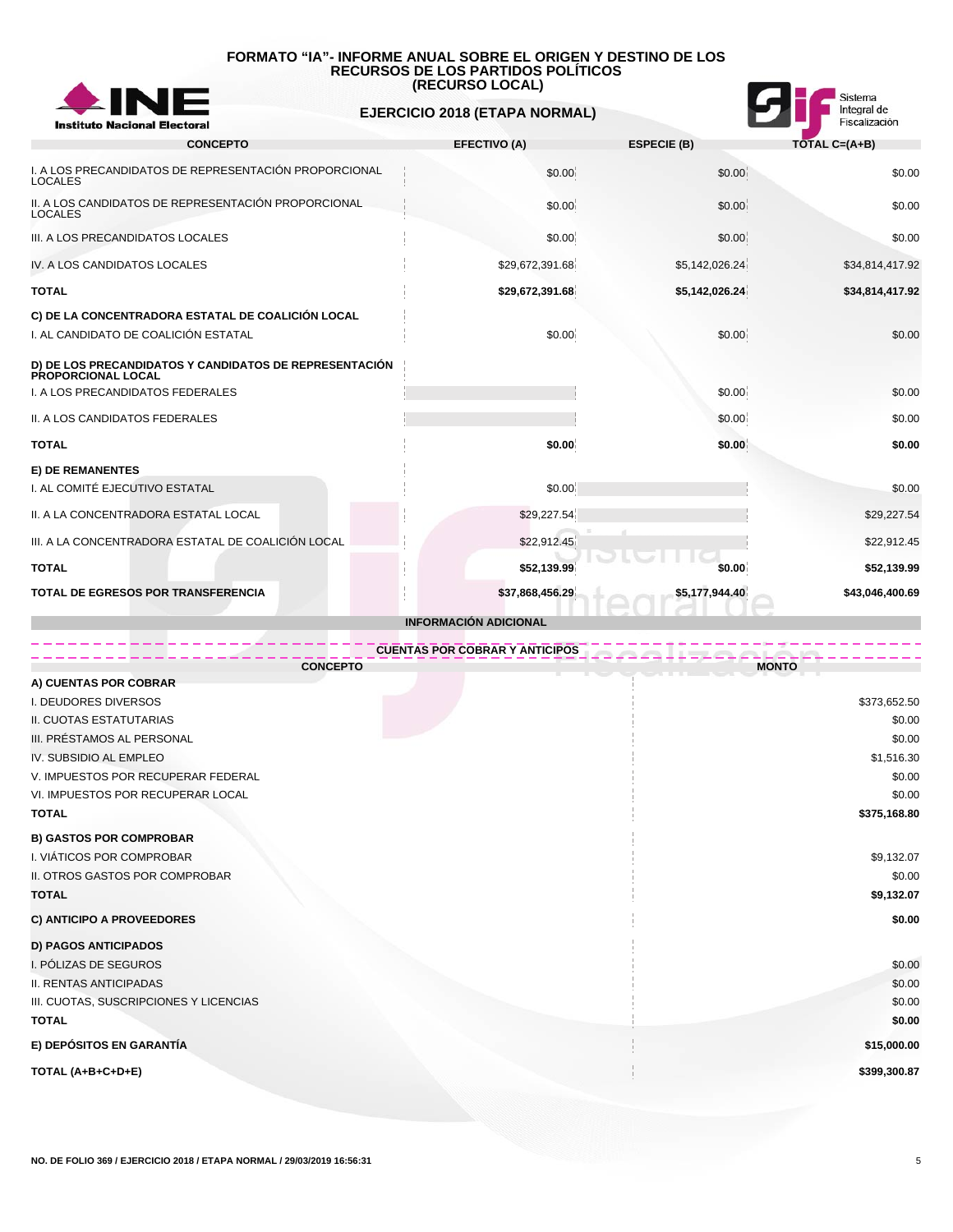

 **EJERCICIO 2018 (ETAPA NORMAL)**



| <b>CONCEPTO</b>                                                              | <b>EFECTIVO (A)</b>          | <b>ESPECIE (B)</b> | TOTAL C=(A+B)   |
|------------------------------------------------------------------------------|------------------------------|--------------------|-----------------|
| I. A LOS PRECANDIDATOS DE REPRESENTACIÓN PROPORCIONAL<br><b>LOCALES</b>      | \$0.00                       | \$0.00             | \$0.00          |
| II. A LOS CANDIDATOS DE REPRESENTACIÓN PROPORCIONAL<br><b>LOCALES</b>        | \$0.00                       | \$0.00             | \$0.00          |
| III. A LOS PRECANDIDATOS LOCALES                                             | \$0.00                       | \$0.00             | \$0.00          |
| IV. A LOS CANDIDATOS LOCALES                                                 | \$29,672,391.68              | \$5,142,026.24     | \$34,814,417.92 |
| <b>TOTAL</b>                                                                 | \$29,672,391.68              | \$5,142,026.24     | \$34,814,417.92 |
| C) DE LA CONCENTRADORA ESTATAL DE COALICIÓN LOCAL                            |                              |                    |                 |
| I. AL CANDIDATO DE COALICIÓN ESTATAL                                         | \$0.00                       | \$0.00             | \$0.00          |
| D) DE LOS PRECANDIDATOS Y CANDIDATOS DE REPRESENTACIÓN<br>PROPORCIONAL LOCAL |                              |                    |                 |
| I. A LOS PRECANDIDATOS FEDERALES                                             |                              | \$0.00             | \$0.00          |
| II. A LOS CANDIDATOS FEDERALES                                               |                              | \$0.00             | \$0.00          |
| <b>TOTAL</b>                                                                 | \$0.00                       | \$0.00             | \$0.00          |
| <b>E) DE REMANENTES</b>                                                      |                              |                    |                 |
| I. AL COMITÉ EJECUTIVO ESTATAL                                               | \$0.00                       |                    | \$0.00          |
| II. A LA CONCENTRADORA ESTATAL LOCAL                                         | \$29,227.54                  |                    | \$29,227.54     |
| III. A LA CONCENTRADORA ESTATAL DE COALICIÓN LOCAL                           | \$22,912.45                  |                    | \$22,912.45     |
| <b>TOTAL</b>                                                                 | \$52,139.99                  | \$0.00             | \$52,139.99     |
| <b>TOTAL DE EGRESOS POR TRANSFERENCIA</b>                                    | \$37,868,456.29              | \$5,177,944.40     | \$43,046,400.69 |
|                                                                              | <b>INFORMACIÓN ADICIONAL</b> |                    |                 |

| <b>CUENTAS POR COBRAR Y ANTICIPOS</b>  |              |
|----------------------------------------|--------------|
| <b>CONCEPTO</b>                        | <b>MONTO</b> |
| A) CUENTAS POR COBRAR                  |              |
| I. DEUDORES DIVERSOS                   | \$373,652.50 |
| II. CUOTAS ESTATUTARIAS                | \$0.00       |
| III. PRÉSTAMOS AL PERSONAL             | \$0.00       |
| IV. SUBSIDIO AL EMPLEO                 | \$1,516.30   |
| V. IMPUESTOS POR RECUPERAR FEDERAL     | \$0.00       |
| VI. IMPUESTOS POR RECUPERAR LOCAL      | \$0.00       |
| <b>TOTAL</b>                           | \$375,168.80 |
| <b>B) GASTOS POR COMPROBAR</b>         |              |
| I. VIÁTICOS POR COMPROBAR              | \$9,132.07   |
| II. OTROS GASTOS POR COMPROBAR         | \$0.00       |
| <b>TOTAL</b>                           | \$9,132.07   |
| C) ANTICIPO A PROVEEDORES              | \$0.00       |
| <b>D) PAGOS ANTICIPADOS</b>            |              |
| I. PÓLIZAS DE SEGUROS                  | \$0.00       |
| <b>II. RENTAS ANTICIPADAS</b>          | \$0.00       |
| III. CUOTAS, SUSCRIPCIONES Y LICENCIAS | \$0.00       |
| <b>TOTAL</b>                           | \$0.00       |
| E) DEPÓSITOS EN GARANTÍA               | \$15,000.00  |
| TOTAL (A+B+C+D+E)                      | \$399,300.87 |
|                                        |              |